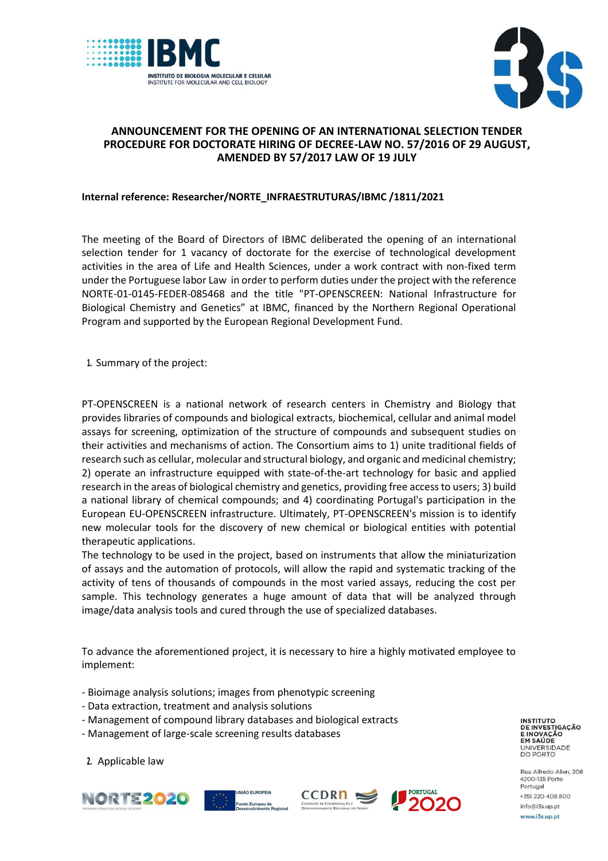



## **ANNOUNCEMENT FOR THE OPENING OF AN INTERNATIONAL SELECTION TENDER PROCEDURE FOR DOCTORATE HIRING OF DECREE-LAW NO. 57/2016 OF 29 AUGUST, AMENDED BY 57/2017 LAW OF 19 JULY**

## **Internal reference: Researcher/NORTE\_INFRAESTRUTURAS/IBMC /1811/2021**

The meeting of the Board of Directors of IBMC deliberated the opening of an international selection tender for 1 vacancy of doctorate for the exercise of technological development activities in the area of Life and Health Sciences, under a work contract with non-fixed term under the Portuguese labor Law in order to perform duties under the project with the reference NORTE-01-0145-FEDER-085468 and the title "PT-OPENSCREEN: National Infrastructure for Biological Chemistry and Genetics" at IBMC, financed by the Northern Regional Operational Program and supported by the European Regional Development Fund.

**1.** Summary of the project:

PT-OPENSCREEN is a national network of research centers in Chemistry and Biology that provides libraries of compounds and biological extracts, biochemical, cellular and animal model assays for screening, optimization of the structure of compounds and subsequent studies on their activities and mechanisms of action. The Consortium aims to 1) unite traditional fields of research such as cellular, molecular and structural biology, and organic and medicinal chemistry; 2) operate an infrastructure equipped with state-of-the-art technology for basic and applied research in the areas of biological chemistry and genetics, providing free access to users; 3) build a national library of chemical compounds; and 4) coordinating Portugal's participation in the European EU-OPENSCREEN infrastructure. Ultimately, PT-OPENSCREEN's mission is to identify new molecular tools for the discovery of new chemical or biological entities with potential therapeutic applications.

The technology to be used in the project, based on instruments that allow the miniaturization of assays and the automation of protocols, will allow the rapid and systematic tracking of the activity of tens of thousands of compounds in the most varied assays, reducing the cost per sample. This technology generates a huge amount of data that will be analyzed through image/data analysis tools and cured through the use of specialized databases.

To advance the aforementioned project, it is necessary to hire a highly motivated employee to implement:

- Bioimage analysis solutions; images from phenotypic screening
- Data extraction, treatment and analysis solutions
- Management of compound library databases and biological extracts
- Management of large-scale screening results databases

**INSTITUTO DE INVESTIGAÇÃO E INOVAÇÃO** EM SAÚDE UNIVERSIDADE<br>DO PORTO

Rua Alfredo Allen, 208 4200-135 Porto Portugal +351 220 408 800 info@i3s.up.pt www.i3s.up.pt

**2.** Applicable law





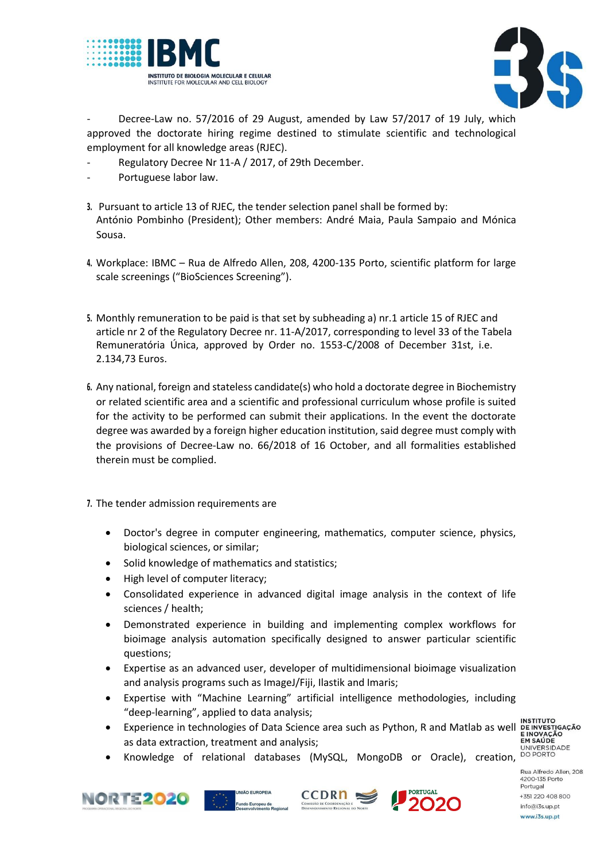



Decree-Law no. 57/2016 of 29 August, amended by Law 57/2017 of 19 July, which approved the doctorate hiring regime destined to stimulate scientific and technological employment for all knowledge areas (RJEC).

- Regulatory Decree Nr 11-A / 2017, of 29th December.
- Portuguese labor law.
- **3.** Pursuant to article 13 of RJEC, the tender selection panel shall be formed by: António Pombinho (President); Other members: André Maia, Paula Sampaio and Mónica Sousa.
- **4.** Workplace: IBMC Rua de Alfredo Allen, 208, 4200-135 Porto, scientific platform for large scale screenings ("BioSciences Screening").
- **5.** Monthly remuneration to be paid is that set by subheading a) nr.1 article 15 of RJEC and article nr 2 of the Regulatory Decree nr. 11-A/2017, corresponding to level 33 of the Tabela Remuneratória Única, approved by Order no. 1553-C/2008 of December 31st, i.e. 2.134,73 Euros.
- **6.** Any national, foreign and stateless candidate(s) who hold a doctorate degree in Biochemistry or related scientific area and a scientific and professional curriculum whose profile is suited for the activity to be performed can submit their applications. In the event the doctorate degree was awarded by a foreign higher education institution, said degree must comply with the provisions of Decree-Law no. 66/2018 of 16 October, and all formalities established therein must be complied.
- **7.** The tender admission requirements are
	- Doctor's degree in computer engineering, mathematics, computer science, physics, biological sciences, or similar;
	- Solid knowledge of mathematics and statistics;
	- High level of computer literacy;
	- Consolidated experience in advanced digital image analysis in the context of life sciences / health;
	- Demonstrated experience in building and implementing complex workflows for bioimage analysis automation specifically designed to answer particular scientific questions;
	- Expertise as an advanced user, developer of multidimensional bioimage visualization and analysis programs such as ImageJ/Fiji, Ilastik and Imaris;
	- Expertise with "Machine Learning" artificial intelligence methodologies, including "deep-learning", applied to data analysis;
	- Experience in technologies of Data Science area such as Python, R and Matlab as well as data extraction, treatment and analysis;

E INOVAÇÃO<br>EM SAÚDE

Knowledge of relational databases (MySQL, MongoDB or Oracle), creation, DOPORTO







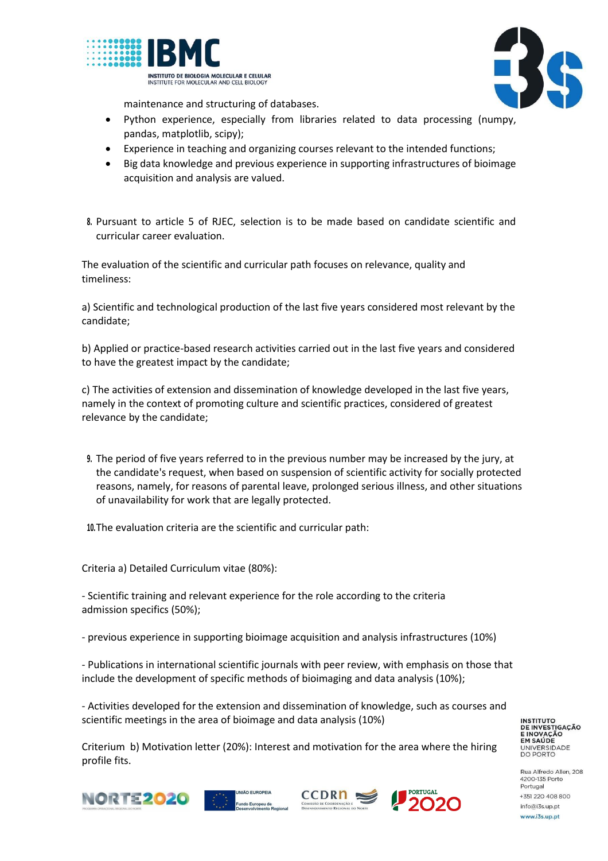



maintenance and structuring of databases.

- Python experience, especially from libraries related to data processing (numpy, pandas, matplotlib, scipy);
- Experience in teaching and organizing courses relevant to the intended functions;
- Big data knowledge and previous experience in supporting infrastructures of bioimage acquisition and analysis are valued.
- **8.** Pursuant to article 5 of RJEC, selection is to be made based on candidate scientific and curricular career evaluation.

The evaluation of the scientific and curricular path focuses on relevance, quality and timeliness:

a) Scientific and technological production of the last five years considered most relevant by the candidate;

b) Applied or practice-based research activities carried out in the last five years and considered to have the greatest impact by the candidate;

c) The activities of extension and dissemination of knowledge developed in the last five years, namely in the context of promoting culture and scientific practices, considered of greatest relevance by the candidate;

**9.** The period of five years referred to in the previous number may be increased by the jury, at the candidate's request, when based on suspension of scientific activity for socially protected reasons, namely, for reasons of parental leave, prolonged serious illness, and other situations of unavailability for work that are legally protected.

**10.**The evaluation criteria are the scientific and curricular path:

Criteria a) Detailed Curriculum vitae (80%):

- Scientific training and relevant experience for the role according to the criteria admission specifics (50%);

- previous experience in supporting bioimage acquisition and analysis infrastructures (10%)

- Publications in international scientific journals with peer review, with emphasis on those that include the development of specific methods of bioimaging and data analysis (10%);

- Activities developed for the extension and dissemination of knowledge, such as courses and scientific meetings in the area of bioimage and data analysis (10%)

Criterium b) Motivation letter (20%): Interest and motivation for the area where the hiring profile fits.

**INSTITUTO DE INVESTIGAÇÃO** E INOVAÇÃO<br>E INOVAÇÃO UNIVERSIDADE<br>DO PORTO







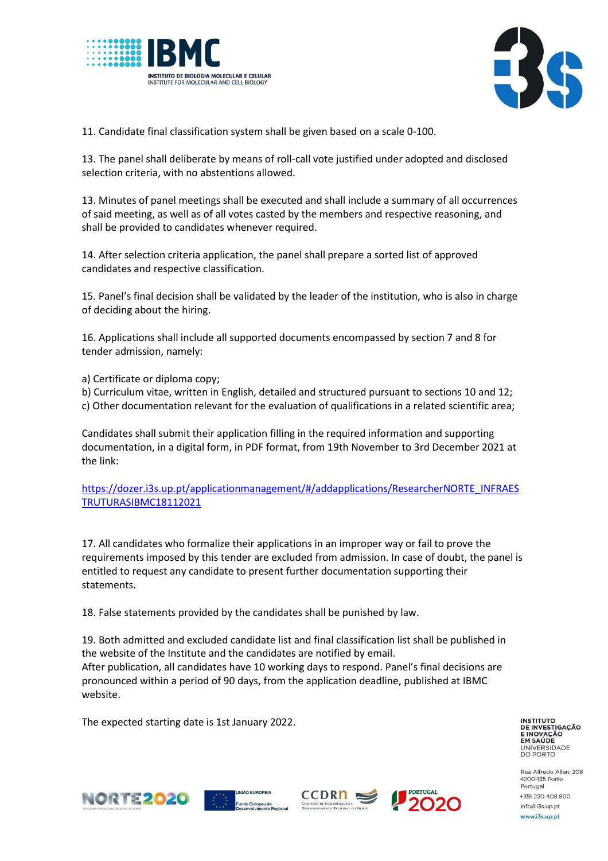



11. Candidate final classification system shall be given based on a scale 0-100.

13. The panel shall deliberate by means of roll-call vote justified under adopted and disclosed selection criteria, with no abstentions allowed.

13. Minutes of panel meetings shall be executed and shall include a summary of all occurrences of said meeting, as well as of all votes casted by the members and respective reasoning, and shall be provided to candidates whenever required.

14. After selection criteria application, the panel shall prepare a sorted list of approved candidates and respective classification.

15. Panel's final decision shall be validated by the leader of the institution, who is also in charge of deciding about the hiring.

16. Applications shall include all supported documents encompassed by section 7 and 8 for tender admission, namely:

a) Certificate or diploma copy;

b) Curriculum vitae, written in English, detailed and structured pursuant to sections 10 and 12; c) Other documentation relevant for the evaluation of qualifications in a related scientific area;

Candidates shall submit their application filling in the required information and supporting documentation, in a digital form, in PDF format, from 19th November to 3rd December 2021 at the link:

[https://dozer.i3s.up.pt/applicationmanagement/#/addapplications/ResearcherNORTE\\_INFRAES](https://dozer.i3s.up.pt/applicationmanagement/#/addapplications/ResearcherNORTE_INFRAESTRUTURASIBMC18112021) [TRUTURASIBMC18112021](https://dozer.i3s.up.pt/applicationmanagement/#/addapplications/ResearcherNORTE_INFRAESTRUTURASIBMC18112021)

17. All candidates who formalize their applications in an improper way or fail to prove the requirements imposed by this tender are excluded from admission. In case of doubt, the panel is entitled to request any candidate to present further documentation supporting their statements.

18. False statements provided by the candidates shall be punished by law.

19. Both admitted and excluded candidate list and final classification list shall be published in the website of the Institute and the candidates are notified by email. After publication, all candidates have 10 working days to respond. Panel's final decisions are pronounced within a period of 90 days, from the application deadline, published at IBMC website.

The expected starting date is 1st January 2022.

**INSTITUTO DE INVESTIGAÇÃO** INOVAÇÃO EM SAÚDE UNIVERSIDADE<br>DO PORTO